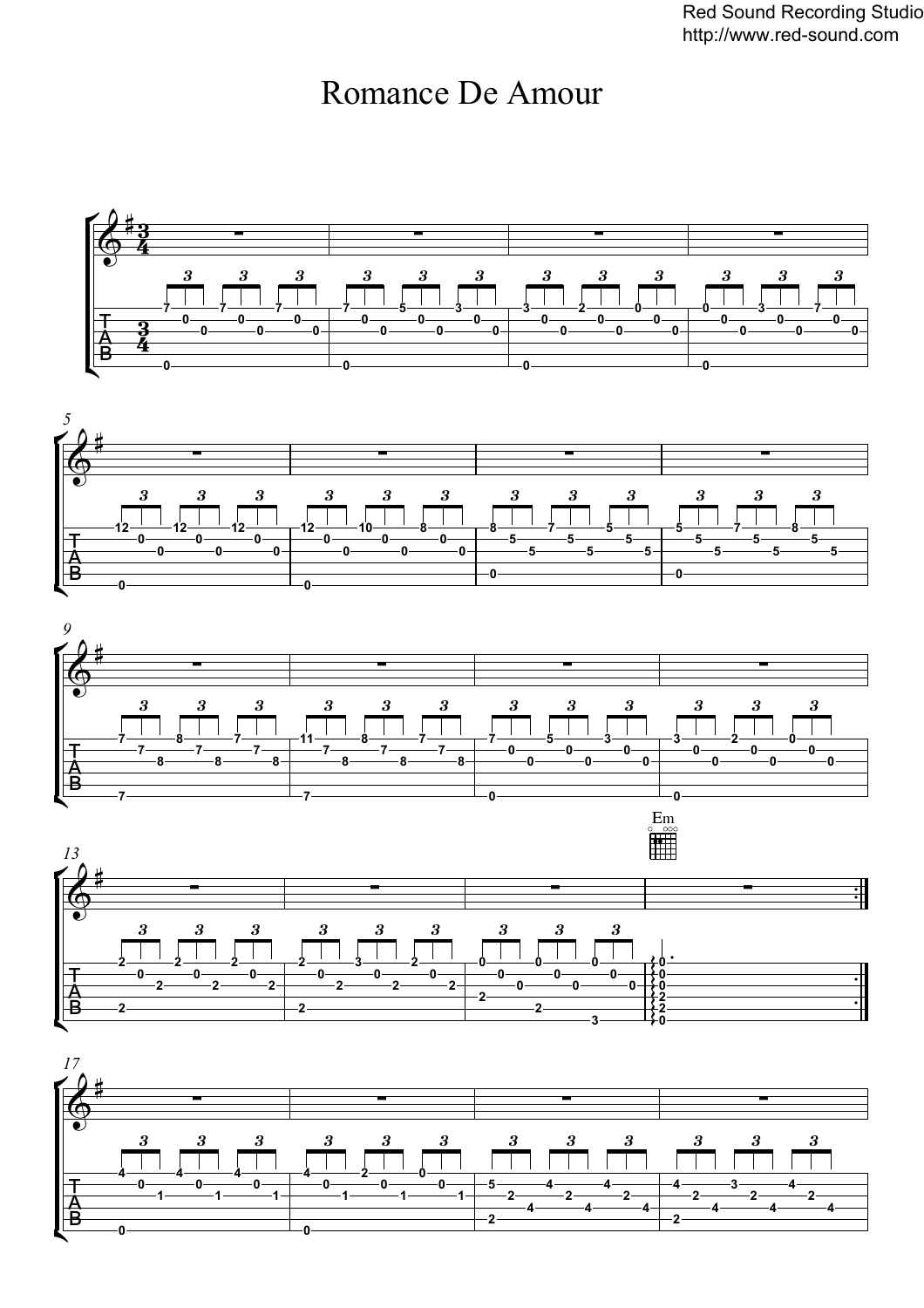Red Sound Recording Studio http://www.red-sound.com

## Romance De Amour